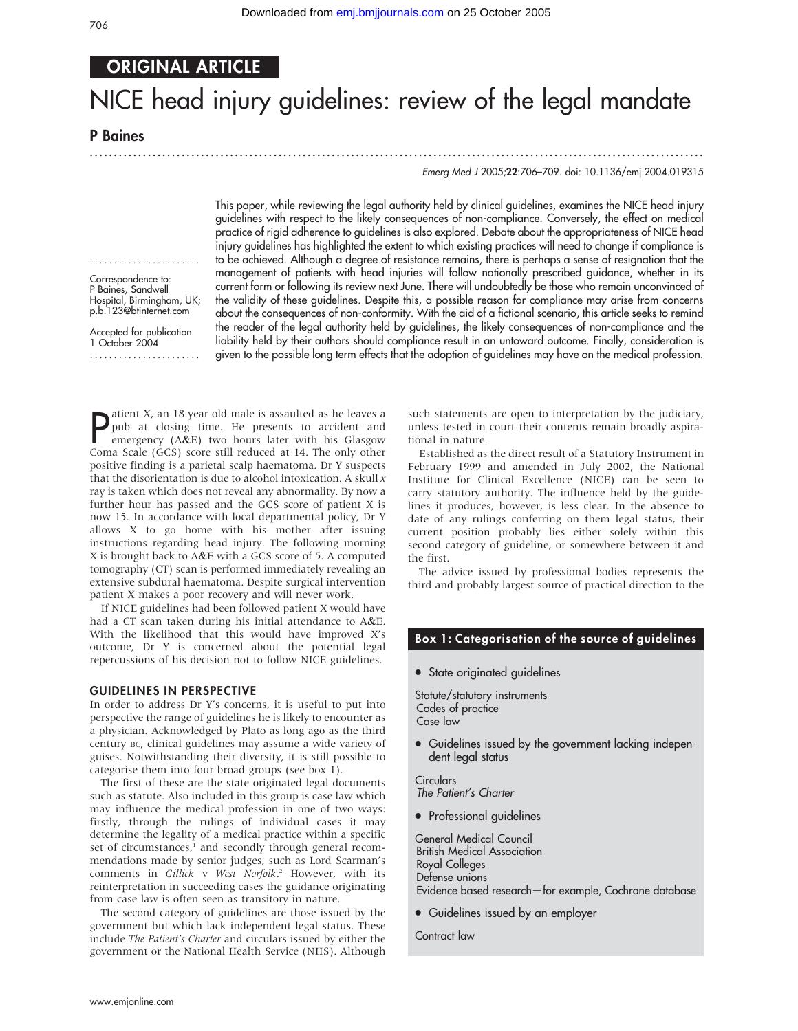# ORIGINAL ARTICLE NICE head injury guidelines: review of the legal mandate

#### P Baines

....................... Correspondence to: P Baines, Sandwell Hospital, Birmingham, UK; p.b.123@btinternet.com Accepted for publication 1 October 2004

## ...............................................................................................................................

Emerg Med J 2005;22:706–709. doi: 10.1136/emj.2004.019315

This paper, while reviewing the legal authority held by clinical guidelines, examines the NICE head injury guidelines with respect to the likely consequences of non-compliance. Conversely, the effect on medical practice of rigid adherence to guidelines is also explored. Debate about the appropriateness of NICE head injury guidelines has highlighted the extent to which existing practices will need to change if compliance is to be achieved. Although a degree of resistance remains, there is perhaps a sense of resignation that the management of patients with head injuries will follow nationally prescribed guidance, whether in its current form or following its review next June. There will undoubtedly be those who remain unconvinced of the validity of these guidelines. Despite this, a possible reason for compliance may arise from concerns about the consequences of non-conformity. With the aid of a fictional scenario, this article seeks to remind the reader of the legal authority held by guidelines, the likely consequences of non-compliance and the liability held by their authors should compliance result in an untoward outcome. Finally, consideration is given to the possible long term effects that the adoption of guidelines may have on the medical profession.

**P** atient X, an 18 year old male is assaulted as he leaves a<br>pub at closing time. He presents to accident and<br>emergency (A&E) two hours later with his Glasgow pub at closing time. He presents to accident and emergency (A&E) two hours later with his Glasgow Coma Scale (GCS) score still reduced at 14. The only other positive finding is a parietal scalp haematoma. Dr Y suspects that the disorientation is due to alcohol intoxication. A skull  $x$ ray is taken which does not reveal any abnormality. By now a further hour has passed and the GCS score of patient X is now 15. In accordance with local departmental policy, Dr Y allows X to go home with his mother after issuing instructions regarding head injury. The following morning X is brought back to A&E with a GCS score of 5. A computed tomography (CT) scan is performed immediately revealing an extensive subdural haematoma. Despite surgical intervention patient X makes a poor recovery and will never work.

If NICE guidelines had been followed patient X would have had a CT scan taken during his initial attendance to A&E. With the likelihood that this would have improved X's outcome, Dr Y is concerned about the potential legal repercussions of his decision not to follow NICE guidelines.

#### GUIDELINES IN PERSPECTIVE

In order to address Dr Y's concerns, it is useful to put into perspective the range of guidelines he is likely to encounter as a physician. Acknowledged by Plato as long ago as the third century BC, clinical guidelines may assume a wide variety of guises. Notwithstanding their diversity, it is still possible to categorise them into four broad groups (see box 1).

The first of these are the state originated legal documents such as statute. Also included in this group is case law which may influence the medical profession in one of two ways: firstly, through the rulings of individual cases it may determine the legality of a medical practice within a specific set of circumstances,<sup>1</sup> and secondly through general recommendations made by senior judges, such as Lord Scarman's comments in Gillick v West Norfolk.<sup>2</sup> However, with its reinterpretation in succeeding cases the guidance originating from case law is often seen as transitory in nature.

The second category of guidelines are those issued by the government but which lack independent legal status. These include The Patient's Charter and circulars issued by either the government or the National Health Service (NHS). Although such statements are open to interpretation by the judiciary, unless tested in court their contents remain broadly aspirational in nature.

Established as the direct result of a Statutory Instrument in February 1999 and amended in July 2002, the National Institute for Clinical Excellence (NICE) can be seen to carry statutory authority. The influence held by the guidelines it produces, however, is less clear. In the absence to date of any rulings conferring on them legal status, their current position probably lies either solely within this second category of guideline, or somewhere between it and the first.

The advice issued by professional bodies represents the third and probably largest source of practical direction to the

#### Box 1: Categorisation of the source of guidelines

• State originated guidelines

Statute/statutory instruments Codes of practice Case law

• Guidelines issued by the government lacking independent legal status

**Circulars** The Patient's Charter

• Professional guidelines

General Medical Council British Medical Association Royal Colleges Defense unions Evidence based research—for example, Cochrane database

• Guidelines issued by an employer

Contract law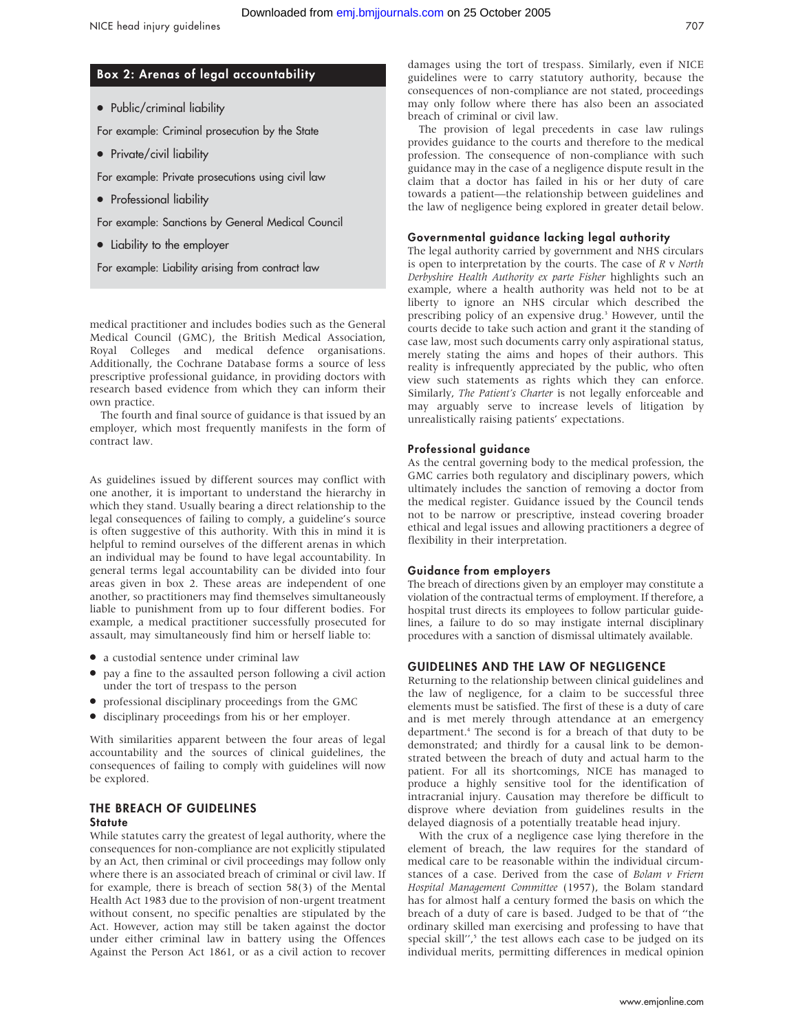# Box 2: Arenas of legal accountability

• Public/criminal liability

For example: Criminal prosecution by the State

• Private/civil liability

For example: Private prosecutions using civil law

• Professional liability

For example: Sanctions by General Medical Council

• Liability to the employer

For example: Liability arising from contract law

medical practitioner and includes bodies such as the General Medical Council (GMC), the British Medical Association, Royal Colleges and medical defence organisations. Additionally, the Cochrane Database forms a source of less prescriptive professional guidance, in providing doctors with research based evidence from which they can inform their own practice.

The fourth and final source of guidance is that issued by an employer, which most frequently manifests in the form of contract law.

As guidelines issued by different sources may conflict with one another, it is important to understand the hierarchy in which they stand. Usually bearing a direct relationship to the legal consequences of failing to comply, a guideline's source is often suggestive of this authority. With this in mind it is helpful to remind ourselves of the different arenas in which an individual may be found to have legal accountability. In general terms legal accountability can be divided into four areas given in box 2. These areas are independent of one another, so practitioners may find themselves simultaneously liable to punishment from up to four different bodies. For example, a medical practitioner successfully prosecuted for assault, may simultaneously find him or herself liable to:

- $\bullet$  a custodial sentence under criminal law
- N pay a fine to the assaulted person following a civil action under the tort of trespass to the person
- $\bullet$  professional disciplinary proceedings from the GMC
- $\bullet$  disciplinary proceedings from his or her employer.

With similarities apparent between the four areas of legal accountability and the sources of clinical guidelines, the consequences of failing to comply with guidelines will now be explored.

## THE BREACH OF GUIDELINES **Statute**

While statutes carry the greatest of legal authority, where the consequences for non-compliance are not explicitly stipulated by an Act, then criminal or civil proceedings may follow only where there is an associated breach of criminal or civil law. If for example, there is breach of section 58(3) of the Mental Health Act 1983 due to the provision of non-urgent treatment without consent, no specific penalties are stipulated by the Act. However, action may still be taken against the doctor under either criminal law in battery using the Offences Against the Person Act 1861, or as a civil action to recover damages using the tort of trespass. Similarly, even if NICE guidelines were to carry statutory authority, because the consequences of non-compliance are not stated, proceedings may only follow where there has also been an associated breach of criminal or civil law.

The provision of legal precedents in case law rulings provides guidance to the courts and therefore to the medical profession. The consequence of non-compliance with such guidance may in the case of a negligence dispute result in the claim that a doctor has failed in his or her duty of care towards a patient—the relationship between guidelines and the law of negligence being explored in greater detail below.

## Governmental guidance lacking legal authority

The legal authority carried by government and NHS circulars is open to interpretation by the courts. The case of  $R$  v North Derbyshire Health Authority ex parte Fisher highlights such an example, where a health authority was held not to be at liberty to ignore an NHS circular which described the prescribing policy of an expensive drug.<sup>3</sup> However, until the courts decide to take such action and grant it the standing of case law, most such documents carry only aspirational status, merely stating the aims and hopes of their authors. This reality is infrequently appreciated by the public, who often view such statements as rights which they can enforce. Similarly, The Patient's Charter is not legally enforceable and may arguably serve to increase levels of litigation by unrealistically raising patients' expectations.

## Professional guidance

As the central governing body to the medical profession, the GMC carries both regulatory and disciplinary powers, which ultimately includes the sanction of removing a doctor from the medical register. Guidance issued by the Council tends not to be narrow or prescriptive, instead covering broader ethical and legal issues and allowing practitioners a degree of flexibility in their interpretation.

## Guidance from employers

The breach of directions given by an employer may constitute a violation of the contractual terms of employment. If therefore, a hospital trust directs its employees to follow particular guidelines, a failure to do so may instigate internal disciplinary procedures with a sanction of dismissal ultimately available.

# GUIDELINES AND THE LAW OF NEGLIGENCE

Returning to the relationship between clinical guidelines and the law of negligence, for a claim to be successful three elements must be satisfied. The first of these is a duty of care and is met merely through attendance at an emergency department.4 The second is for a breach of that duty to be demonstrated; and thirdly for a causal link to be demonstrated between the breach of duty and actual harm to the patient. For all its shortcomings, NICE has managed to produce a highly sensitive tool for the identification of intracranial injury. Causation may therefore be difficult to disprove where deviation from guidelines results in the delayed diagnosis of a potentially treatable head injury.

With the crux of a negligence case lying therefore in the element of breach, the law requires for the standard of medical care to be reasonable within the individual circumstances of a case. Derived from the case of Bolam v Friern Hospital Management Committee (1957), the Bolam standard has for almost half a century formed the basis on which the breach of a duty of care is based. Judged to be that of ''the ordinary skilled man exercising and professing to have that special skill",<sup>5</sup> the test allows each case to be judged on its individual merits, permitting differences in medical opinion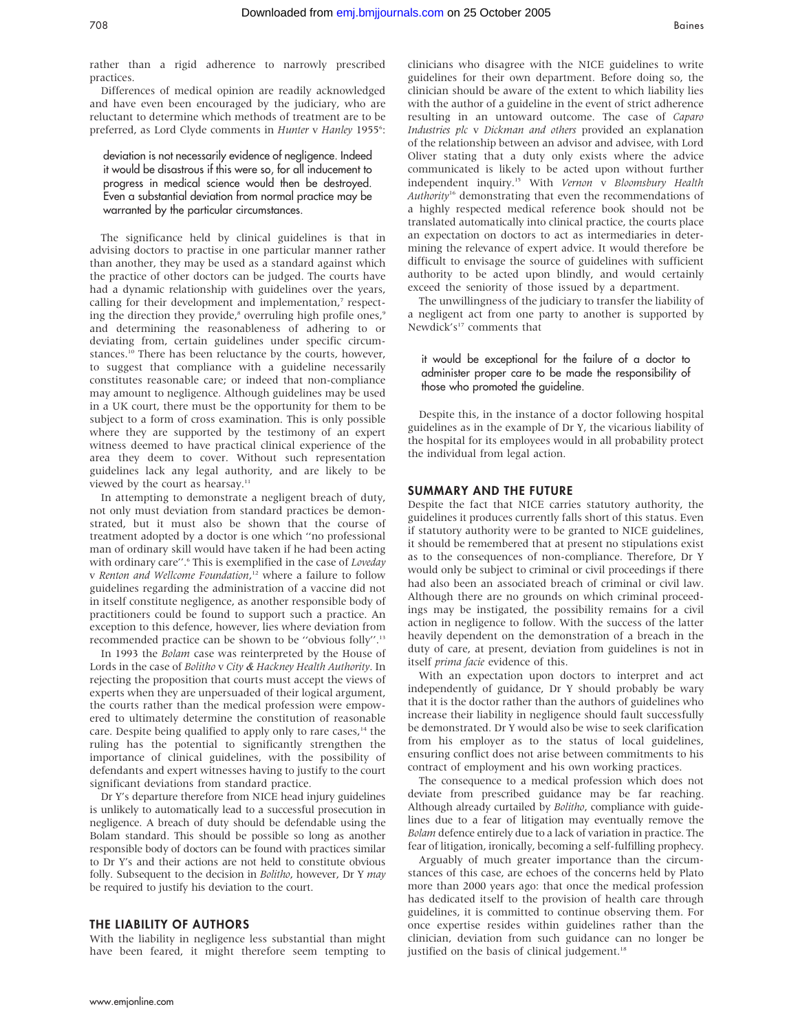rather than a rigid adherence to narrowly prescribed practices.

Differences of medical opinion are readily acknowledged and have even been encouraged by the judiciary, who are reluctant to determine which methods of treatment are to be preferred, as Lord Clyde comments in Hunter v Hanley 1955<sup>6</sup>:

deviation is not necessarily evidence of negligence. Indeed it would be disastrous if this were so, for all inducement to progress in medical science would then be destroyed. Even a substantial deviation from normal practice may be warranted by the particular circumstances.

The significance held by clinical guidelines is that in advising doctors to practise in one particular manner rather than another, they may be used as a standard against which the practice of other doctors can be judged. The courts have had a dynamic relationship with guidelines over the years, calling for their development and implementation, $\bar{z}$  respecting the direction they provide,<sup>8</sup> overruling high profile ones,<sup>9</sup> and determining the reasonableness of adhering to or deviating from, certain guidelines under specific circumstances.<sup>10</sup> There has been reluctance by the courts, however, to suggest that compliance with a guideline necessarily constitutes reasonable care; or indeed that non-compliance may amount to negligence. Although guidelines may be used in a UK court, there must be the opportunity for them to be subject to a form of cross examination. This is only possible where they are supported by the testimony of an expert witness deemed to have practical clinical experience of the area they deem to cover. Without such representation guidelines lack any legal authority, and are likely to be viewed by the court as hearsay.<sup>11</sup>

In attempting to demonstrate a negligent breach of duty, not only must deviation from standard practices be demonstrated, but it must also be shown that the course of treatment adopted by a doctor is one which ''no professional man of ordinary skill would have taken if he had been acting with ordinary care".<sup>6</sup> This is exemplified in the case of Loveday v Renton and Wellcome Foundation,<sup>12</sup> where a failure to follow guidelines regarding the administration of a vaccine did not in itself constitute negligence, as another responsible body of practitioners could be found to support such a practice. An exception to this defence, however, lies where deviation from recommended practice can be shown to be ''obvious folly''.13

In 1993 the Bolam case was reinterpreted by the House of Lords in the case of Bolitho v City & Hackney Health Authority. In rejecting the proposition that courts must accept the views of experts when they are unpersuaded of their logical argument, the courts rather than the medical profession were empowered to ultimately determine the constitution of reasonable care. Despite being qualified to apply only to rare cases,<sup>14</sup> the ruling has the potential to significantly strengthen the importance of clinical guidelines, with the possibility of defendants and expert witnesses having to justify to the court significant deviations from standard practice.

Dr Y's departure therefore from NICE head injury guidelines is unlikely to automatically lead to a successful prosecution in negligence. A breach of duty should be defendable using the Bolam standard. This should be possible so long as another responsible body of doctors can be found with practices similar to Dr Y's and their actions are not held to constitute obvious folly. Subsequent to the decision in *Bolitho*, however, Dr Y may be required to justify his deviation to the court.

#### THE LIABILITY OF AUTHORS

With the liability in negligence less substantial than might have been feared, it might therefore seem tempting to

clinicians who disagree with the NICE guidelines to write guidelines for their own department. Before doing so, the clinician should be aware of the extent to which liability lies with the author of a guideline in the event of strict adherence resulting in an untoward outcome. The case of Caparo Industries plc v Dickman and others provided an explanation of the relationship between an advisor and advisee, with Lord Oliver stating that a duty only exists where the advice communicated is likely to be acted upon without further independent inquiry.<sup>15</sup> With Vernon v Bloomsbury Health Authority<sup>16</sup> demonstrating that even the recommendations of a highly respected medical reference book should not be translated automatically into clinical practice, the courts place an expectation on doctors to act as intermediaries in determining the relevance of expert advice. It would therefore be difficult to envisage the source of guidelines with sufficient authority to be acted upon blindly, and would certainly exceed the seniority of those issued by a department.

The unwillingness of the judiciary to transfer the liability of a negligent act from one party to another is supported by Newdick's<sup>17</sup> comments that

#### it would be exceptional for the failure of a doctor to administer proper care to be made the responsibility of those who promoted the guideline.

Despite this, in the instance of a doctor following hospital guidelines as in the example of Dr Y, the vicarious liability of the hospital for its employees would in all probability protect the individual from legal action.

#### SUMMARY AND THE FUTURE

Despite the fact that NICE carries statutory authority, the guidelines it produces currently falls short of this status. Even if statutory authority were to be granted to NICE guidelines, it should be remembered that at present no stipulations exist as to the consequences of non-compliance. Therefore, Dr Y would only be subject to criminal or civil proceedings if there had also been an associated breach of criminal or civil law. Although there are no grounds on which criminal proceedings may be instigated, the possibility remains for a civil action in negligence to follow. With the success of the latter heavily dependent on the demonstration of a breach in the duty of care, at present, deviation from guidelines is not in itself prima facie evidence of this.

With an expectation upon doctors to interpret and act independently of guidance, Dr Y should probably be wary that it is the doctor rather than the authors of guidelines who increase their liability in negligence should fault successfully be demonstrated. Dr Y would also be wise to seek clarification from his employer as to the status of local guidelines, ensuring conflict does not arise between commitments to his contract of employment and his own working practices.

The consequence to a medical profession which does not deviate from prescribed guidance may be far reaching. Although already curtailed by *Bolitho*, compliance with guidelines due to a fear of litigation may eventually remove the Bolam defence entirely due to a lack of variation in practice. The fear of litigation, ironically, becoming a self-fulfilling prophecy.

Arguably of much greater importance than the circumstances of this case, are echoes of the concerns held by Plato more than 2000 years ago: that once the medical profession has dedicated itself to the provision of health care through guidelines, it is committed to continue observing them. For once expertise resides within guidelines rather than the clinician, deviation from such guidance can no longer be justified on the basis of clinical judgement.<sup>18</sup>